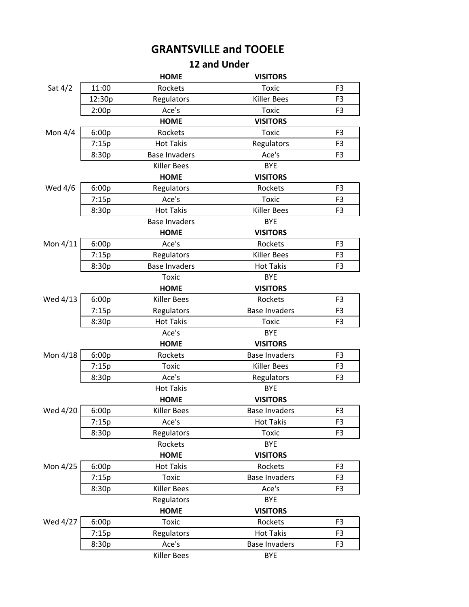## **GRANTSVILLE and TOOELE**

## **12 and Under**

|           |        | <b>HOME</b>          | <b>VISITORS</b>      |                |
|-----------|--------|----------------------|----------------------|----------------|
| Sat $4/2$ | 11:00  | Rockets              | <b>Toxic</b>         | F <sub>3</sub> |
|           | 12:30p | Regulators           | <b>Killer Bees</b>   | F <sub>3</sub> |
|           | 2:00p  | Ace's                | Toxic                | F <sub>3</sub> |
|           |        | <b>HOME</b>          | <b>VISITORS</b>      |                |
| Mon $4/4$ | 6:00p  | Rockets              | <b>Toxic</b>         | F <sub>3</sub> |
|           | 7:15p  | <b>Hot Takis</b>     | Regulators           | F <sub>3</sub> |
|           | 8:30p  | <b>Base Invaders</b> | Ace's                | F <sub>3</sub> |
|           |        | <b>Killer Bees</b>   | <b>BYE</b>           |                |
|           |        | <b>HOME</b>          | <b>VISITORS</b>      |                |
| Wed 4/6   | 6:00p  | Regulators           | Rockets              | F <sub>3</sub> |
|           | 7:15p  | Ace's                | <b>Toxic</b>         | F <sub>3</sub> |
|           | 8:30p  | <b>Hot Takis</b>     | <b>Killer Bees</b>   | F <sub>3</sub> |
|           |        | <b>Base Invaders</b> | <b>BYE</b>           |                |
|           |        | <b>HOME</b>          | <b>VISITORS</b>      |                |
| Mon 4/11  | 6:00p  | Ace's                | Rockets              | F <sub>3</sub> |
|           | 7:15p  | Regulators           | <b>Killer Bees</b>   | F <sub>3</sub> |
|           | 8:30p  | <b>Base Invaders</b> | <b>Hot Takis</b>     | F3             |
|           |        | <b>Toxic</b>         | <b>BYE</b>           |                |
|           |        | <b>HOME</b>          | <b>VISITORS</b>      |                |
| Wed 4/13  | 6:00p  | <b>Killer Bees</b>   | Rockets              | F <sub>3</sub> |
|           | 7:15p  | Regulators           | <b>Base Invaders</b> | F <sub>3</sub> |
|           | 8:30p  | <b>Hot Takis</b>     | Toxic                | F <sub>3</sub> |
|           |        | Ace's                | <b>BYE</b>           |                |
|           |        | <b>HOME</b>          | <b>VISITORS</b>      |                |
| Mon 4/18  | 6:00p  | Rockets              | <b>Base Invaders</b> | F <sub>3</sub> |
|           | 7:15p  | <b>Toxic</b>         | <b>Killer Bees</b>   | F <sub>3</sub> |
|           | 8:30p  | Ace's                | Regulators           | F <sub>3</sub> |
|           |        | <b>Hot Takis</b>     | <b>BYE</b>           |                |
|           |        | <b>HOME</b>          | <b>VISITORS</b>      |                |
| Wed 4/20  | 6:00p  | <b>Killer Bees</b>   | <b>Base Invaders</b> | F <sub>3</sub> |
|           | 7:15p  | Ace's                | <b>Hot Takis</b>     | F <sub>3</sub> |
|           | 8:30p  | Regulators           | <b>Toxic</b>         | F <sub>3</sub> |
|           |        | Rockets              | <b>BYE</b>           |                |
|           |        | <b>HOME</b>          | <b>VISITORS</b>      |                |
| Mon 4/25  | 6:00p  | <b>Hot Takis</b>     | Rockets              | F <sub>3</sub> |
|           | 7:15p  | <b>Toxic</b>         | <b>Base Invaders</b> | F3             |
|           | 8:30p  | <b>Killer Bees</b>   | Ace's                | F3             |
|           |        | Regulators           | <b>BYE</b>           |                |
|           |        | <b>HOME</b>          | <b>VISITORS</b>      |                |
| Wed 4/27  | 6:00p  | <b>Toxic</b>         | Rockets              | F <sub>3</sub> |
|           | 7:15p  | Regulators           | <b>Hot Takis</b>     | F <sub>3</sub> |
|           | 8:30p  | Ace's                | <b>Base Invaders</b> | F3             |
|           |        | <b>Killer Bees</b>   | <b>BYE</b>           |                |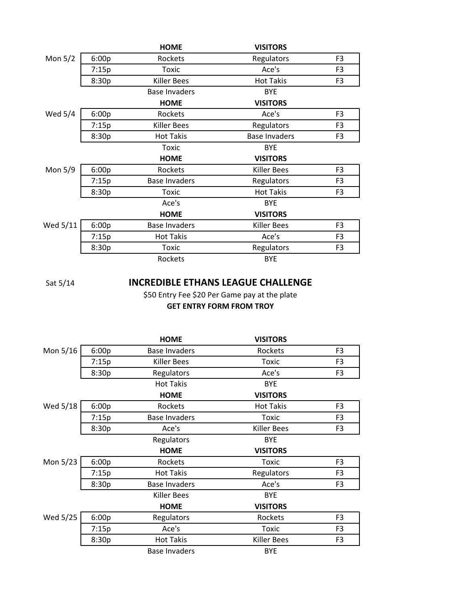|           |       | <b>HOME</b>          | <b>VISITORS</b>      |                |
|-----------|-------|----------------------|----------------------|----------------|
| Mon $5/2$ | 6:00p | Rockets              | Regulators           | F <sub>3</sub> |
|           | 7:15p | <b>Toxic</b>         | Ace's                | F3             |
|           | 8:30p | Killer Bees          | <b>Hot Takis</b>     | F <sub>3</sub> |
|           |       | Base Invaders        | <b>BYE</b>           |                |
|           |       | <b>HOME</b>          | <b>VISITORS</b>      |                |
| Wed 5/4   | 6:00p | Rockets              | Ace's                | F3             |
|           | 7:15p | <b>Killer Bees</b>   | Regulators           | F <sub>3</sub> |
|           | 8:30p | <b>Hot Takis</b>     | <b>Base Invaders</b> | F <sub>3</sub> |
|           |       | Toxic                | <b>BYE</b>           |                |
|           |       |                      |                      |                |
|           |       | <b>HOME</b>          | <b>VISITORS</b>      |                |
| Mon 5/9   | 6:00p | Rockets              | Killer Bees          | F3             |
|           | 7:15p | <b>Base Invaders</b> | Regulators           | F <sub>3</sub> |
|           | 8:30p | Toxic                | <b>Hot Takis</b>     | F <sub>3</sub> |
|           |       | Ace's                | <b>BYE</b>           |                |
|           |       | <b>HOME</b>          | <b>VISITORS</b>      |                |
| Wed 5/11  | 6:00p | <b>Base Invaders</b> | Killer Bees          | F <sub>3</sub> |
|           | 7:15p | <b>Hot Takis</b>     | Ace's                | F <sub>3</sub> |
|           | 8:30p | Toxic                | Regulators           | F <sub>3</sub> |

Sat 5/14

## **INCREDIBLE ETHANS LEAGUE CHALLENGE**

\$50 Entry Fee \$20 Per Game pay at the plate **GET ENTRY FORM FROM TROY**

|          |       | <b>HOME</b>          | <b>VISITORS</b>    |                |
|----------|-------|----------------------|--------------------|----------------|
| Mon 5/16 | 6:00p | <b>Base Invaders</b> | Rockets            | F <sub>3</sub> |
|          | 7:15p | <b>Killer Bees</b>   | <b>Toxic</b>       | F <sub>3</sub> |
|          | 8:30p | Regulators           | Ace's              | F <sub>3</sub> |
|          |       | <b>Hot Takis</b>     | <b>BYE</b>         |                |
|          |       | <b>HOME</b>          | <b>VISITORS</b>    |                |
| Wed 5/18 | 6:00p | Rockets              | <b>Hot Takis</b>   | F <sub>3</sub> |
|          | 7:15p | <b>Base Invaders</b> | <b>Toxic</b>       | F <sub>3</sub> |
|          | 8:30p | Ace's                | <b>Killer Bees</b> | F <sub>3</sub> |
|          |       | Regulators           | <b>BYE</b>         |                |
|          |       | <b>HOME</b>          | <b>VISITORS</b>    |                |
| Mon 5/23 | 6:00p | Rockets              | <b>Toxic</b>       | F <sub>3</sub> |
|          | 7:15p | <b>Hot Takis</b>     | Regulators         | F <sub>3</sub> |
|          | 8:30p | <b>Base Invaders</b> | Ace's              | F <sub>3</sub> |
|          |       | Killer Bees          | <b>BYE</b>         |                |
|          |       | <b>HOME</b>          | <b>VISITORS</b>    |                |
| Wed 5/25 | 6:00p | Regulators           | Rockets            | F <sub>3</sub> |
|          | 7:15p | Ace's                | Toxic              | F3             |
|          | 8:30p | <b>Hot Takis</b>     | <b>Killer Bees</b> | F <sub>3</sub> |
|          |       | <b>Base Invaders</b> | <b>BYE</b>         |                |